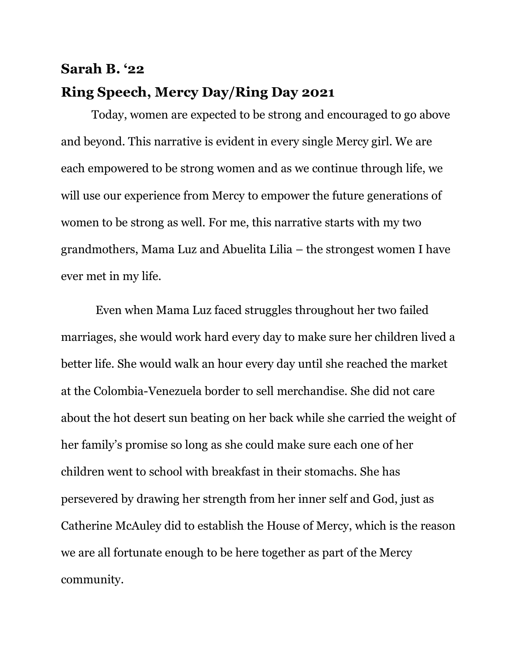## **Sarah B. '22 Ring Speech, Mercy Day/Ring Day 2021**

Today, women are expected to be strong and encouraged to go above and beyond. This narrative is evident in every single Mercy girl. We are each empowered to be strong women and as we continue through life, we will use our experience from Mercy to empower the future generations of women to be strong as well. For me, this narrative starts with my two grandmothers, Mama Luz and Abuelita Lilia – the strongest women I have ever met in my life.

 Even when Mama Luz faced struggles throughout her two failed marriages, she would work hard every day to make sure her children lived a better life. She would walk an hour every day until she reached the market at the Colombia-Venezuela border to sell merchandise. She did not care about the hot desert sun beating on her back while she carried the weight of her family's promise so long as she could make sure each one of her children went to school with breakfast in their stomachs. She has persevered by drawing her strength from her inner self and God, just as Catherine McAuley did to establish the House of Mercy, which is the reason we are all fortunate enough to be here together as part of the Mercy community.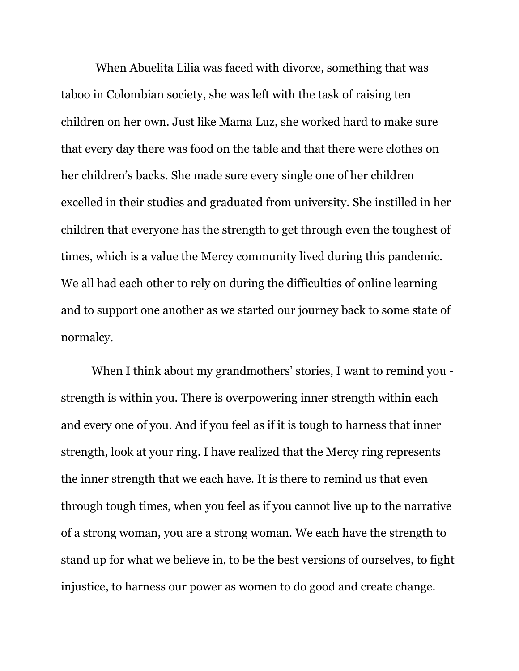When Abuelita Lilia was faced with divorce, something that was taboo in Colombian society, she was left with the task of raising ten children on her own. Just like Mama Luz, she worked hard to make sure that every day there was food on the table and that there were clothes on her children's backs. She made sure every single one of her children excelled in their studies and graduated from university. She instilled in her children that everyone has the strength to get through even the toughest of times, which is a value the Mercy community lived during this pandemic. We all had each other to rely on during the difficulties of online learning and to support one another as we started our journey back to some state of normalcy.

When I think about my grandmothers' stories, I want to remind you strength is within you. There is overpowering inner strength within each and every one of you. And if you feel as if it is tough to harness that inner strength, look at your ring. I have realized that the Mercy ring represents the inner strength that we each have. It is there to remind us that even through tough times, when you feel as if you cannot live up to the narrative of a strong woman, you are a strong woman. We each have the strength to stand up for what we believe in, to be the best versions of ourselves, to fight injustice, to harness our power as women to do good and create change.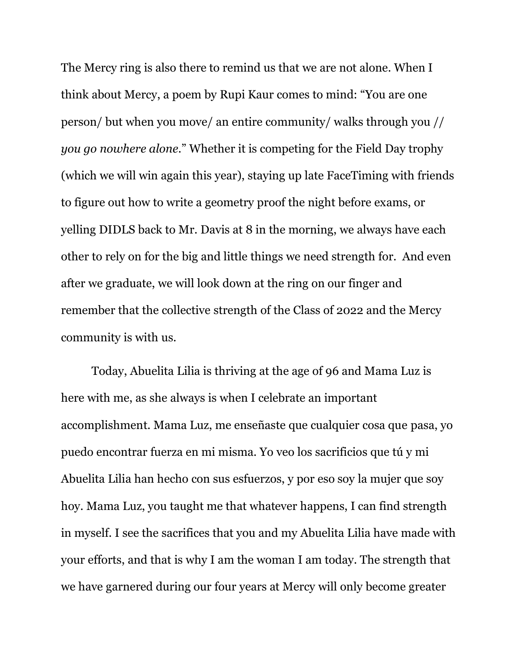The Mercy ring is also there to remind us that we are not alone. When I think about Mercy, a poem by Rupi Kaur comes to mind: "You are one person/ but when you move/ an entire community/ walks through you // *you go nowhere alone*." Whether it is competing for the Field Day trophy (which we will win again this year), staying up late FaceTiming with friends to figure out how to write a geometry proof the night before exams, or yelling DIDLS back to Mr. Davis at 8 in the morning, we always have each other to rely on for the big and little things we need strength for. And even after we graduate, we will look down at the ring on our finger and remember that the collective strength of the Class of 2022 and the Mercy community is with us.

Today, Abuelita Lilia is thriving at the age of 96 and Mama Luz is here with me, as she always is when I celebrate an important accomplishment. Mama Luz, me enseñaste que cualquier cosa que pasa, yo puedo encontrar fuerza en mi misma. Yo veo los sacrificios que tú y mi Abuelita Lilia han hecho con sus esfuerzos, y por eso soy la mujer que soy hoy. Mama Luz, you taught me that whatever happens, I can find strength in myself. I see the sacrifices that you and my Abuelita Lilia have made with your efforts, and that is why I am the woman I am today. The strength that we have garnered during our four years at Mercy will only become greater